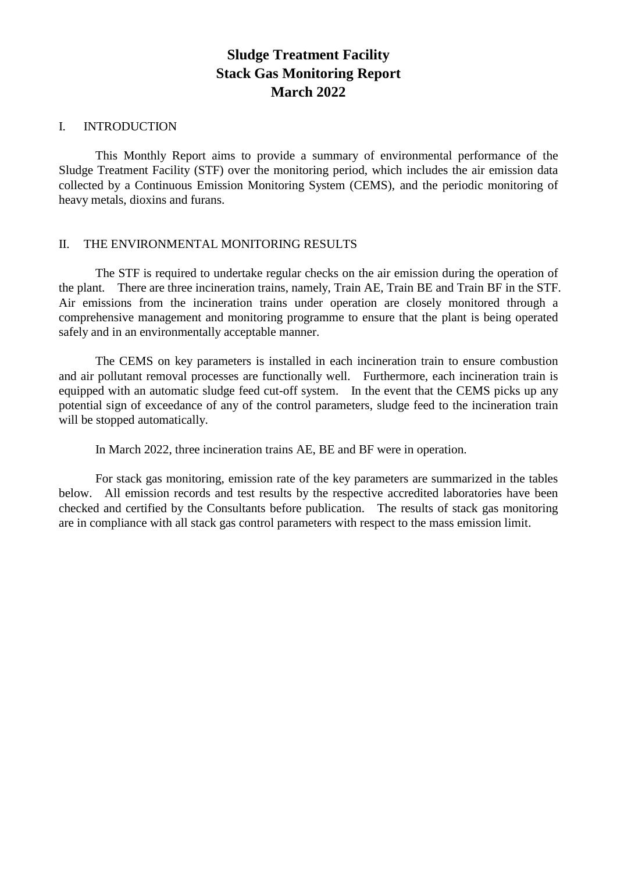#### I. INTRODUCTION

This Monthly Report aims to provide a summary of environmental performance of the Sludge Treatment Facility (STF) over the monitoring period, which includes the air emission data collected by a Continuous Emission Monitoring System (CEMS), and the periodic monitoring of heavy metals, dioxins and furans.

#### II. THE ENVIRONMENTAL MONITORING RESULTS

The STF is required to undertake regular checks on the air emission during the operation of the plant. There are three incineration trains, namely, Train AE, Train BE and Train BF in the STF. Air emissions from the incineration trains under operation are closely monitored through a comprehensive management and monitoring programme to ensure that the plant is being operated safely and in an environmentally acceptable manner.

The CEMS on key parameters is installed in each incineration train to ensure combustion and air pollutant removal processes are functionally well. Furthermore, each incineration train is equipped with an automatic sludge feed cut-off system. In the event that the CEMS picks up any potential sign of exceedance of any of the control parameters, sludge feed to the incineration train will be stopped automatically.

In March 2022, three incineration trains AE, BE and BF were in operation.

For stack gas monitoring, emission rate of the key parameters are summarized in the tables below. All emission records and test results by the respective accredited laboratories have been checked and certified by the Consultants before publication. The results of stack gas monitoring are in compliance with all stack gas control parameters with respect to the mass emission limit.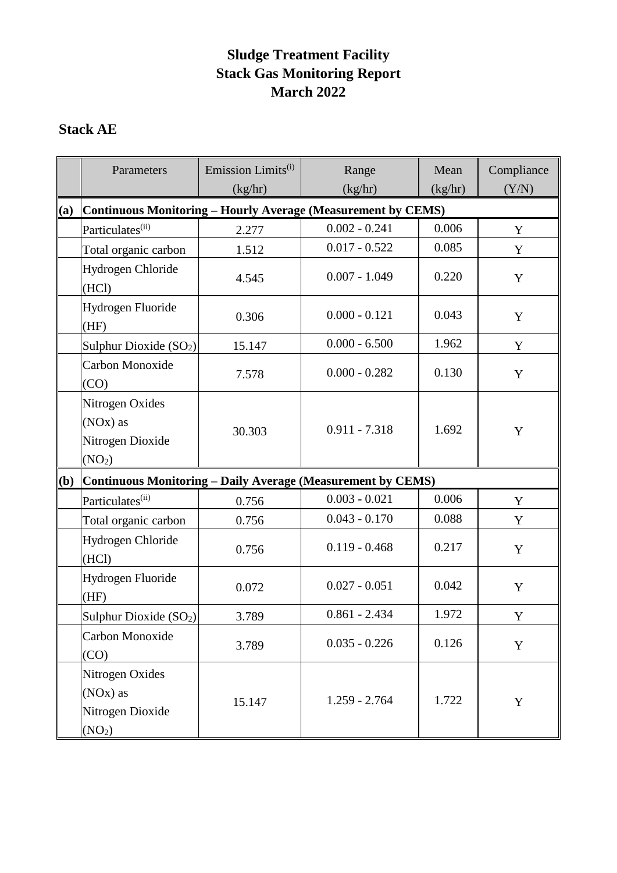## **Stack AE**

|     | Parameters                                                                         | Emission Limits <sup>(i)</sup><br>(kg/hr) | Range<br>(kg/hr) | Mean<br>(kg/hr) | Compliance<br>(Y/N) |
|-----|------------------------------------------------------------------------------------|-------------------------------------------|------------------|-----------------|---------------------|
| (a) | <b>Continuous Monitoring - Hourly Average (Measurement by CEMS)</b>                |                                           |                  |                 |                     |
|     | Particulates <sup>(ii)</sup>                                                       | 2.277                                     | $0.002 - 0.241$  | 0.006           | Y                   |
|     | Total organic carbon                                                               | 1.512                                     | $0.017 - 0.522$  | 0.085           | Y                   |
|     | Hydrogen Chloride<br>(HCl)                                                         | 4.545                                     | $0.007 - 1.049$  | 0.220           | Y                   |
|     | Hydrogen Fluoride<br>(HF)                                                          | 0.306                                     | $0.000 - 0.121$  | 0.043           | Y                   |
|     | Sulphur Dioxide $(SO2)$                                                            | 15.147                                    | $0.000 - 6.500$  | 1.962           | Y                   |
|     | Carbon Monoxide<br>(CO)                                                            | 7.578                                     | $0.000 - 0.282$  | 0.130           | Y                   |
|     | Nitrogen Oxides<br>(NO <sub>x</sub> ) as<br>Nitrogen Dioxide<br>(NO <sub>2</sub> ) | 30.303                                    | $0.911 - 7.318$  | 1.692           | Y                   |
| (b) | Continuous Monitoring - Daily Average (Measurement by CEMS)                        |                                           |                  |                 |                     |
|     | Particulates <sup>(ii)</sup>                                                       | 0.756                                     | $0.003 - 0.021$  | 0.006           | Y                   |
|     | Total organic carbon                                                               | 0.756                                     | $0.043 - 0.170$  | 0.088           | Y                   |
|     | Hydrogen Chloride<br>(HCl)                                                         | 0.756                                     | $0.119 - 0.468$  | 0.217           | Y                   |
|     | Hydrogen Fluoride<br>(HF)                                                          | 0.072                                     | $0.027 - 0.051$  | 0.042           | Y                   |
|     | Sulphur Dioxide (SO <sub>2</sub> )                                                 | 3.789                                     | $0.861 - 2.434$  | 1.972           | $\mathbf Y$         |
|     | Carbon Monoxide<br>(CO)                                                            | 3.789                                     | $0.035 - 0.226$  | 0.126           | Y                   |
|     | Nitrogen Oxides<br>(NO <sub>x</sub> ) as<br>Nitrogen Dioxide<br>(NO <sub>2</sub> ) | 15.147                                    | $1.259 - 2.764$  | 1.722           | Y                   |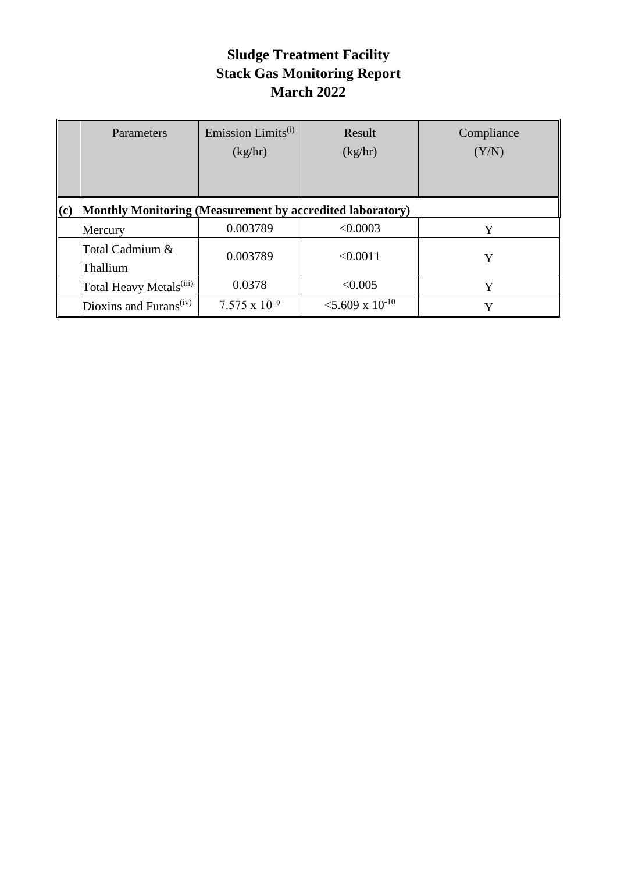|     | Parameters                                                | Emission Limits <sup>(i)</sup><br>(kg/hr) | Result<br>(kg/hr)             | Compliance<br>(Y/N) |  |
|-----|-----------------------------------------------------------|-------------------------------------------|-------------------------------|---------------------|--|
| (c) | Monthly Monitoring (Measurement by accredited laboratory) |                                           |                               |                     |  |
|     | Mercury                                                   | 0.003789                                  | < 0.0003                      | Y                   |  |
|     | Total Cadmium &<br>Thallium                               | 0.003789                                  | < 0.0011                      | Y                   |  |
|     | Total Heavy Metals <sup>(iii)</sup>                       | 0.0378                                    | < 0.005                       | Y                   |  |
|     | Dioxins and Furans <sup>(iv)</sup>                        | $7.575 \times 10^{-9}$                    | $<$ 5.609 x 10 <sup>-10</sup> | Y                   |  |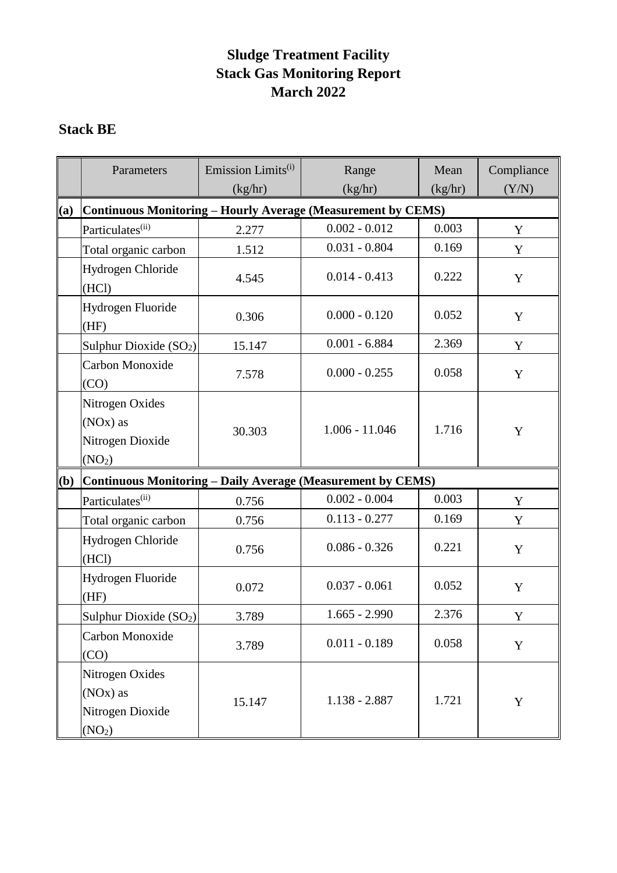## **Stack BE**

|     | Parameters                                                                         | Emission Limits <sup>(i)</sup><br>(kg/hr) | Range<br>(kg/hr) | Mean<br>(kg/hr) | Compliance<br>(Y/N) |
|-----|------------------------------------------------------------------------------------|-------------------------------------------|------------------|-----------------|---------------------|
| (a) | <b>Continuous Monitoring - Hourly Average (Measurement by CEMS)</b>                |                                           |                  |                 |                     |
|     | Particulates <sup>(ii)</sup>                                                       | 2.277                                     | $0.002 - 0.012$  | 0.003           | Y                   |
|     | Total organic carbon                                                               | 1.512                                     | $0.031 - 0.804$  | 0.169           | Y                   |
|     | Hydrogen Chloride<br>(HCl)                                                         | 4.545                                     | $0.014 - 0.413$  | 0.222           | Y                   |
|     | Hydrogen Fluoride<br>(HF)                                                          | 0.306                                     | $0.000 - 0.120$  | 0.052           | Y                   |
|     | Sulphur Dioxide (SO <sub>2</sub> )                                                 | 15.147                                    | $0.001 - 6.884$  | 2.369           | Y                   |
|     | Carbon Monoxide<br>(CO)                                                            | 7.578                                     | $0.000 - 0.255$  | 0.058           | Y                   |
|     | Nitrogen Oxides<br>(NO <sub>x</sub> ) as<br>Nitrogen Dioxide<br>(NO <sub>2</sub> ) | 30.303                                    | $1.006 - 11.046$ | 1.716           | Y                   |
| (b) | Continuous Monitoring - Daily Average (Measurement by CEMS)                        |                                           |                  |                 |                     |
|     | Particulates <sup>(ii)</sup>                                                       | 0.756                                     | $0.002 - 0.004$  | 0.003           | Y                   |
|     | Total organic carbon                                                               | 0.756                                     | $0.113 - 0.277$  | 0.169           | Y                   |
|     | Hydrogen Chloride<br>(HCl)                                                         | 0.756                                     | $0.086 - 0.326$  | 0.221           | Y                   |
|     | Hydrogen Fluoride<br>(HF)                                                          | 0.072                                     | $0.037 - 0.061$  | 0.052           | Y                   |
|     | Sulphur Dioxide (SO <sub>2</sub> )                                                 | 3.789                                     | $1.665 - 2.990$  | 2.376           | $\mathbf Y$         |
|     | Carbon Monoxide<br>(CO)                                                            | 3.789                                     | $0.011 - 0.189$  | 0.058           | Y                   |
|     | Nitrogen Oxides<br>(NO <sub>x</sub> ) as<br>Nitrogen Dioxide<br>(NO <sub>2</sub> ) | 15.147                                    | $1.138 - 2.887$  | 1.721           | Y                   |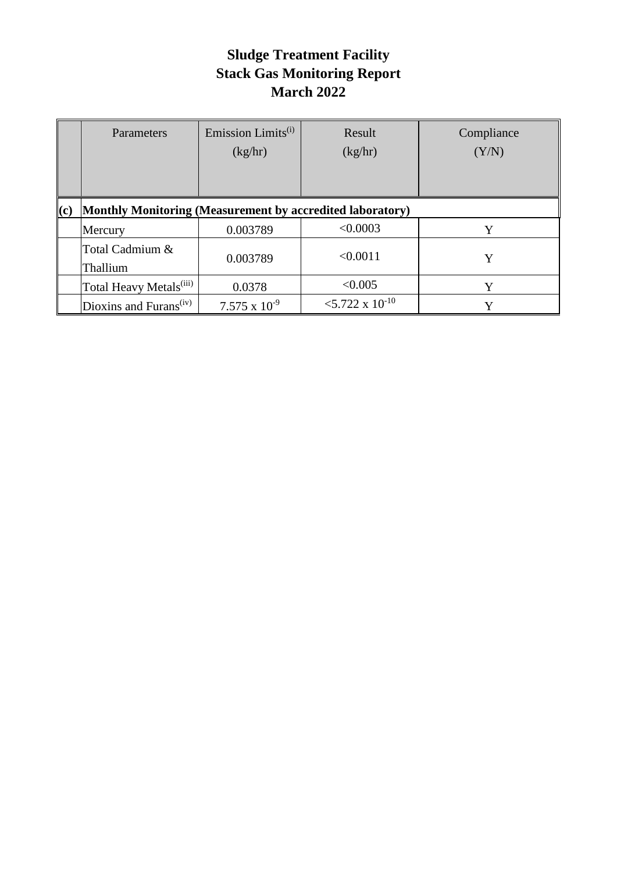|     | Parameters                                                | Emission Limits <sup>(i)</sup><br>(kg/hr) | Result<br>(kg/hr)             | Compliance<br>(Y/N) |
|-----|-----------------------------------------------------------|-------------------------------------------|-------------------------------|---------------------|
| (c) | Monthly Monitoring (Measurement by accredited laboratory) |                                           |                               |                     |
|     | Mercury                                                   | 0.003789                                  | < 0.0003                      | Y                   |
|     | Total Cadmium &<br>Thallium                               | 0.003789                                  | < 0.0011                      | Y                   |
|     | Total Heavy Metals <sup>(iii)</sup>                       | 0.0378                                    | < 0.005                       | Y                   |
|     | Dioxins and Furans <sup>(iv)</sup>                        | $7.575 \times 10^{-9}$                    | $<$ 5.722 x 10 <sup>-10</sup> | Y                   |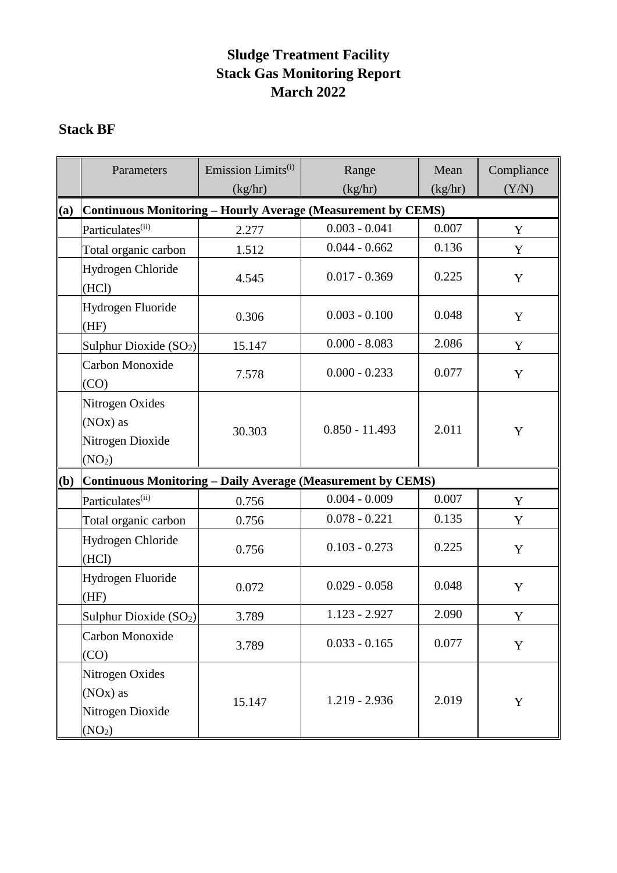## **Stack BF**

|     | Parameters                                                                         | Emission Limits <sup>(i)</sup><br>(kg/hr) | Range<br>(kg/hr) | Mean<br>(kg/hr) | Compliance<br>(Y/N) |
|-----|------------------------------------------------------------------------------------|-------------------------------------------|------------------|-----------------|---------------------|
| (a) | Continuous Monitoring - Hourly Average (Measurement by CEMS)                       |                                           |                  |                 |                     |
|     | Particulates <sup>(ii)</sup>                                                       | 2.277                                     | $0.003 - 0.041$  | 0.007           | Y                   |
|     | Total organic carbon                                                               | 1.512                                     | $0.044 - 0.662$  | 0.136           | Y                   |
|     | Hydrogen Chloride<br>(HCl)                                                         | 4.545                                     | $0.017 - 0.369$  | 0.225           | Y                   |
|     | Hydrogen Fluoride<br>(HF)                                                          | 0.306                                     | $0.003 - 0.100$  | 0.048           | Y                   |
|     | Sulphur Dioxide $(SO2)$                                                            | 15.147                                    | $0.000 - 8.083$  | 2.086           | Y                   |
|     | Carbon Monoxide<br>(CO)                                                            | 7.578                                     | $0.000 - 0.233$  | 0.077           | Y                   |
|     | Nitrogen Oxides<br>(NO <sub>x</sub> ) as<br>Nitrogen Dioxide<br>(NO <sub>2</sub> ) | 30.303                                    | $0.850 - 11.493$ | 2.011           | Y                   |
| (b) | Continuous Monitoring - Daily Average (Measurement by CEMS)                        |                                           |                  |                 |                     |
|     | Particulates <sup>(ii)</sup>                                                       | 0.756                                     | $0.004 - 0.009$  | 0.007           | Y                   |
|     | Total organic carbon                                                               | 0.756                                     | $0.078 - 0.221$  | 0.135           | Y                   |
|     | Hydrogen Chloride<br>(HCl)                                                         | 0.756                                     | $0.103 - 0.273$  | 0.225           | Y                   |
|     | Hydrogen Fluoride<br>(HF)                                                          | 0.072                                     | $0.029 - 0.058$  | 0.048           | Y                   |
|     | Sulphur Dioxide $(SO2)$                                                            | 3.789                                     | $1.123 - 2.927$  | 2.090           | Y                   |
|     | Carbon Monoxide<br>(CO)                                                            | 3.789                                     | $0.033 - 0.165$  | 0.077           | Y                   |
|     | Nitrogen Oxides<br>(NO <sub>x</sub> ) as<br>Nitrogen Dioxide<br>(NO <sub>2</sub> ) | 15.147                                    | $1.219 - 2.936$  | 2.019           | Y                   |